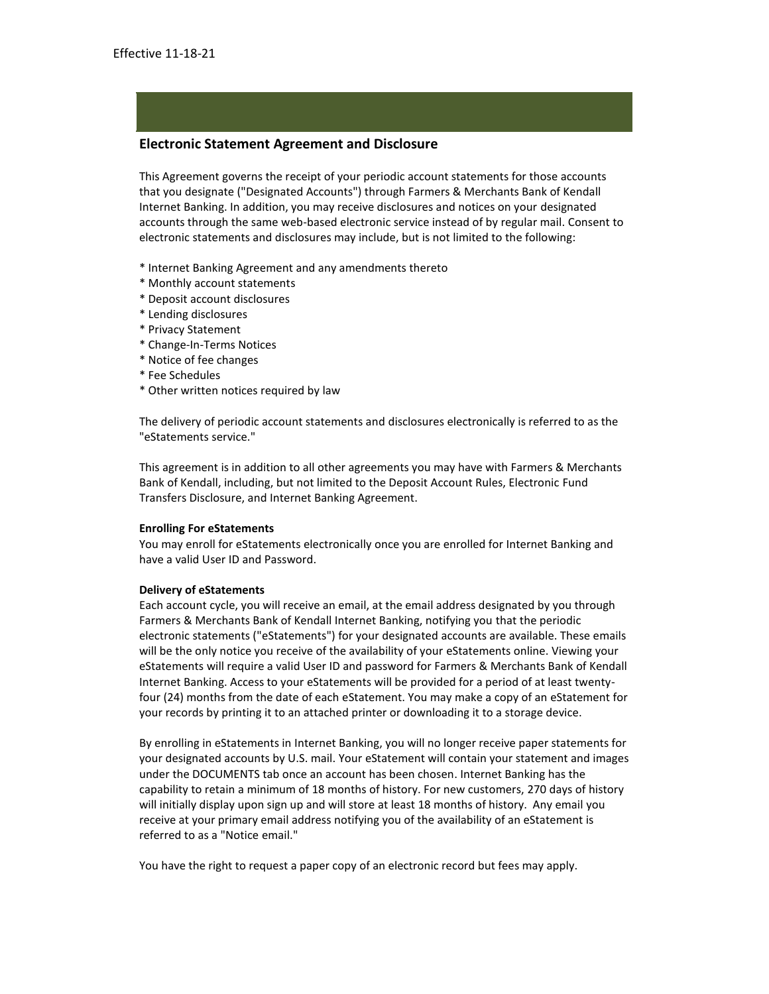# **Electronic Statement Agreement and Disclosure**

This Agreement governs the receipt of your periodic account statements for those accounts that you designate ("Designated Accounts") through Farmers & Merchants Bank of Kendall Internet Banking. In addition, you may receive disclosures and notices on your designated accounts through the same web-based electronic service instead of by regular mail. Consent to electronic statements and disclosures may include, but is not limited to the following:

- \* Internet Banking Agreement and any amendments thereto
- \* Monthly account statements
- \* Deposit account disclosures
- \* Lending disclosures
- \* Privacy Statement
- \* Change-In-Terms Notices
- \* Notice of fee changes
- \* Fee Schedules
- \* Other written notices required by law

The delivery of periodic account statements and disclosures electronically is referred to as the "eStatements service."

This agreement is in addition to all other agreements you may have with Farmers & Merchants Bank of Kendall, including, but not limited to the Deposit Account Rules, Electronic Fund Transfers Disclosure, and Internet Banking Agreement.

#### **Enrolling For eStatements**

You may enroll for eStatements electronically once you are enrolled for Internet Banking and have a valid User ID and Password.

#### **Delivery of eStatements**

Each account cycle, you will receive an email, at the email address designated by you through Farmers & Merchants Bank of Kendall Internet Banking, notifying you that the periodic electronic statements ("eStatements") for your designated accounts are available. These emails will be the only notice you receive of the availability of your eStatements online. Viewing your eStatements will require a valid User ID and password for Farmers & Merchants Bank of Kendall Internet Banking. Access to your eStatements will be provided for a period of at least twentyfour (24) months from the date of each eStatement. You may make a copy of an eStatement for your records by printing it to an attached printer or downloading it to a storage device.

By enrolling in eStatements in Internet Banking, you will no longer receive paper statements for your designated accounts by U.S. mail. Your eStatement will contain your statement and images under the DOCUMENTS tab once an account has been chosen. Internet Banking has the capability to retain a minimum of 18 months of history. For new customers, 270 days of history will initially display upon sign up and will store at least 18 months of history. Any email you receive at your primary email address notifying you of the availability of an eStatement is referred to as a "Notice email."

You have the right to request a paper copy of an electronic record but fees may apply.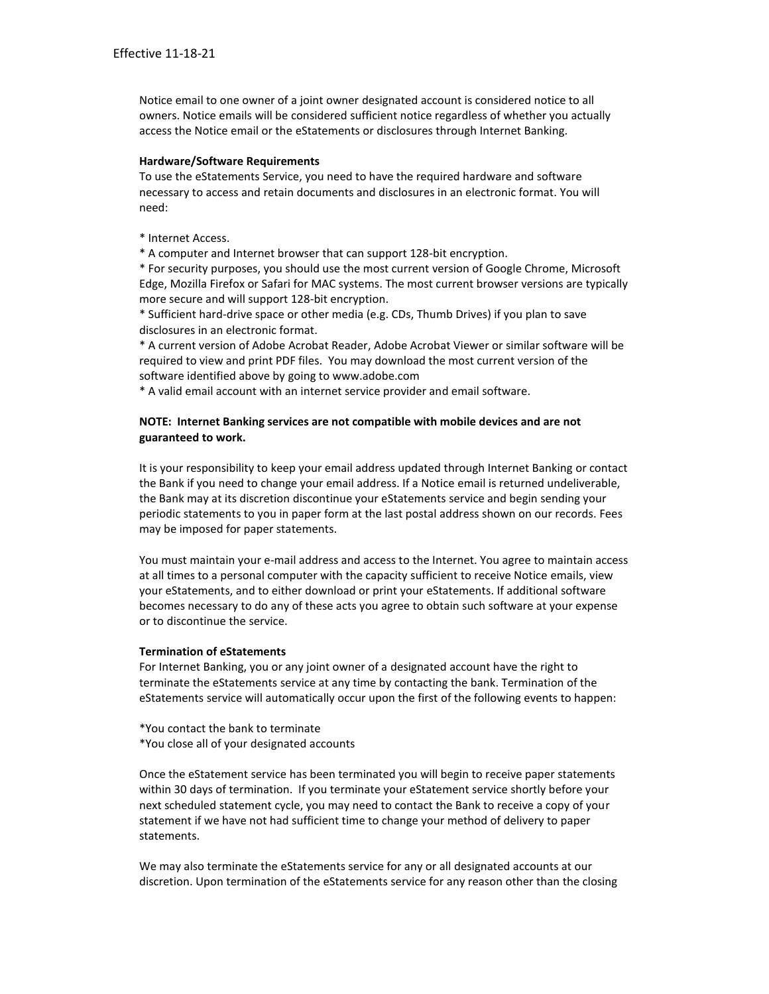Notice email to one owner of a joint owner designated account is considered notice to all owners. Notice emails will be considered sufficient notice regardless of whether you actually access the Notice email or the eStatements or disclosures through Internet Banking.

### **Hardware/Software Requirements**

To use the eStatements Service, you need to have the required hardware and software necessary to access and retain documents and disclosures in an electronic format. You will need:

\* Internet Access.

\* A computer and Internet browser that can support 128-bit encryption.

\* For security purposes, you should use the most current version of Google Chrome, Microsoft Edge, Mozilla Firefox or Safari for MAC systems. The most current browser versions are typically more secure and will support 128-bit encryption.

\* Sufficient hard-drive space or other media (e.g. CDs, Thumb Drives) if you plan to save disclosures in an electronic format.

\* A current version of Adobe Acrobat Reader, Adobe Acrobat Viewer or similar software will be required to view and print PDF files. You may download the most current version of the software identified above by going to www.adobe.com

\* A valid email account with an internet service provider and email software.

## **NOTE: Internet Banking services are not compatible with mobile devices and are not guaranteed to work.**

It is your responsibility to keep your email address updated through Internet Banking or contact the Bank if you need to change your email address. If a Notice email is returned undeliverable, the Bank may at its discretion discontinue your eStatements service and begin sending your periodic statements to you in paper form at the last postal address shown on our records. Fees may be imposed for paper statements.

You must maintain your e-mail address and access to the Internet. You agree to maintain access at all times to a personal computer with the capacity sufficient to receive Notice emails, view your eStatements, and to either download or print your eStatements. If additional software becomes necessary to do any of these acts you agree to obtain such software at your expense or to discontinue the service.

## **Termination of eStatements**

For Internet Banking, you or any joint owner of a designated account have the right to terminate the eStatements service at any time by contacting the bank. Termination of the eStatements service will automatically occur upon the first of the following events to happen:

- \*You contact the bank to terminate
- \*You close all of your designated accounts

Once the eStatement service has been terminated you will begin to receive paper statements within 30 days of termination. If you terminate your eStatement service shortly before your next scheduled statement cycle, you may need to contact the Bank to receive a copy of your statement if we have not had sufficient time to change your method of delivery to paper statements.

We may also terminate the eStatements service for any or all designated accounts at our discretion. Upon termination of the eStatements service for any reason other than the closing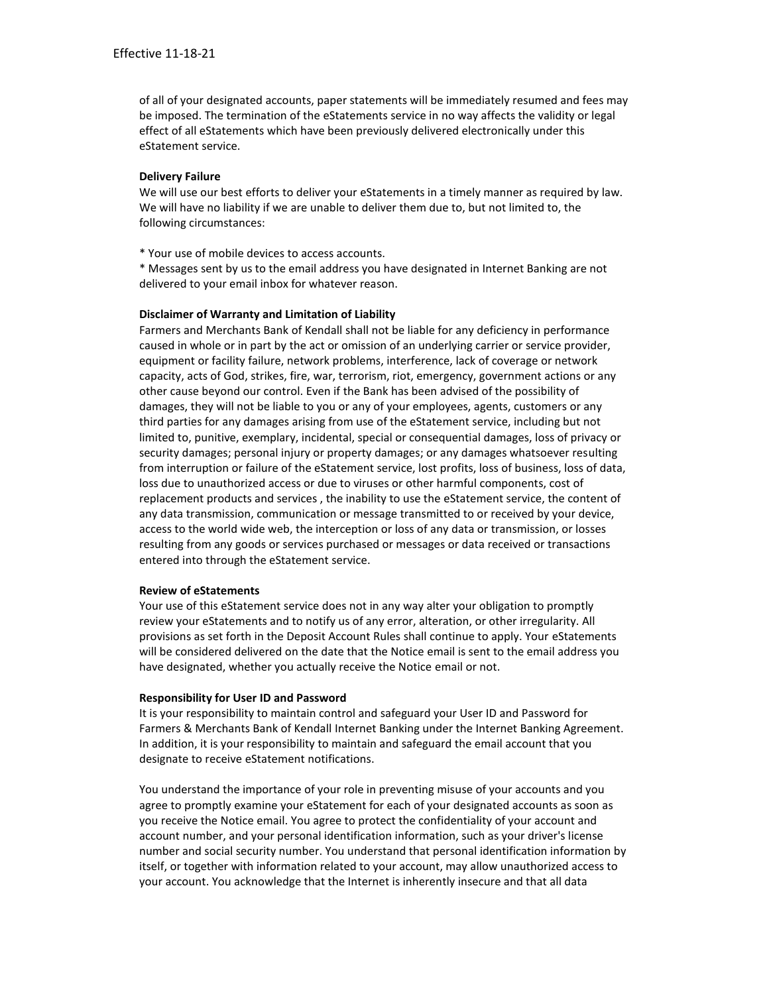of all of your designated accounts, paper statements will be immediately resumed and fees may be imposed. The termination of the eStatements service in no way affects the validity or legal effect of all eStatements which have been previously delivered electronically under this eStatement service.

## **Delivery Failure**

We will use our best efforts to deliver your eStatements in a timely manner as required by law. We will have no liability if we are unable to deliver them due to, but not limited to, the following circumstances:

\* Your use of mobile devices to access accounts.

\* Messages sent by us to the email address you have designated in Internet Banking are not delivered to your email inbox for whatever reason.

### **Disclaimer of Warranty and Limitation of Liability**

Farmers and Merchants Bank of Kendall shall not be liable for any deficiency in performance caused in whole or in part by the act or omission of an underlying carrier or service provider, equipment or facility failure, network problems, interference, lack of coverage or network capacity, acts of God, strikes, fire, war, terrorism, riot, emergency, government actions or any other cause beyond our control. Even if the Bank has been advised of the possibility of damages, they will not be liable to you or any of your employees, agents, customers or any third parties for any damages arising from use of the eStatement service, including but not limited to, punitive, exemplary, incidental, special or consequential damages, loss of privacy or security damages; personal injury or property damages; or any damages whatsoever resulting from interruption or failure of the eStatement service, lost profits, loss of business, loss of data, loss due to unauthorized access or due to viruses or other harmful components, cost of replacement products and services , the inability to use the eStatement service, the content of any data transmission, communication or message transmitted to or received by your device, access to the world wide web, the interception or loss of any data or transmission, or losses resulting from any goods or services purchased or messages or data received or transactions entered into through the eStatement service.

#### **Review of eStatements**

Your use of this eStatement service does not in any way alter your obligation to promptly review your eStatements and to notify us of any error, alteration, or other irregularity. All provisions as set forth in the Deposit Account Rules shall continue to apply. Your eStatements will be considered delivered on the date that the Notice email is sent to the email address you have designated, whether you actually receive the Notice email or not.

#### **Responsibility for User ID and Password**

It is your responsibility to maintain control and safeguard your User ID and Password for Farmers & Merchants Bank of Kendall Internet Banking under the Internet Banking Agreement. In addition, it is your responsibility to maintain and safeguard the email account that you designate to receive eStatement notifications.

You understand the importance of your role in preventing misuse of your accounts and you agree to promptly examine your eStatement for each of your designated accounts as soon as you receive the Notice email. You agree to protect the confidentiality of your account and account number, and your personal identification information, such as your driver's license number and social security number. You understand that personal identification information by itself, or together with information related to your account, may allow unauthorized access to your account. You acknowledge that the Internet is inherently insecure and that all data